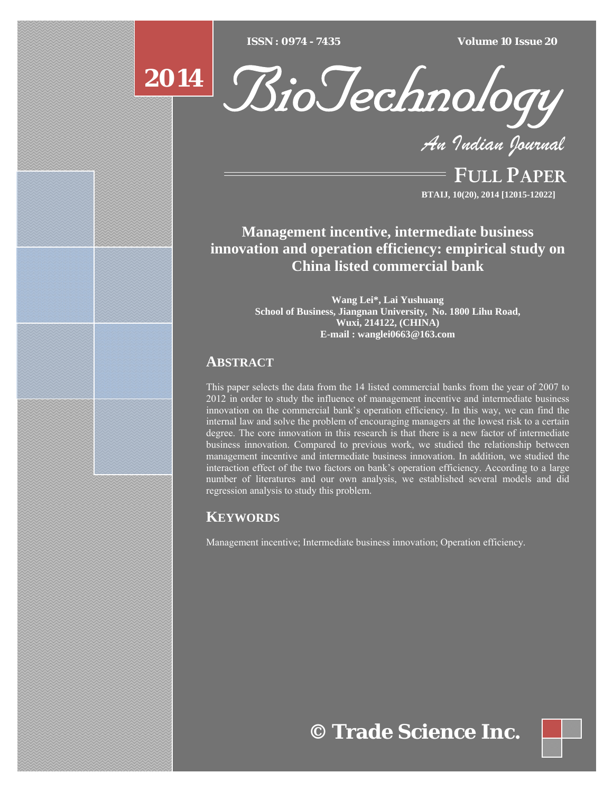$ISSN : 0974 - 7435$ 

*ISSN : 0974 - 7435 Volume 10 Issue 20*



*An Indian Journal*

FULL PAPER **BTAIJ, 10(20), 2014 [12015-12022]**

**Management incentive, intermediate business innovation and operation efficiency: empirical study on China listed commercial bank** 

> **Wang Lei\*, Lai Yushuang School of Business, Jiangnan University, No. 1800 Lihu Road, Wuxi, 214122, (CHINA) E-mail : wanglei0663@163.com**

# **ABSTRACT**

**2014**

This paper selects the data from the 14 listed commercial banks from the year of 2007 to 2012 in order to study the influence of management incentive and intermediate business innovation on the commercial bank's operation efficiency. In this way, we can find the internal law and solve the problem of encouraging managers at the lowest risk to a certain degree. The core innovation in this research is that there is a new factor of intermediate business innovation. Compared to previous work, we studied the relationship between management incentive and intermediate business innovation. In addition, we studied the interaction effect of the two factors on bank's operation efficiency. According to a large number of literatures and our own analysis, we established several models and did regression analysis to study this problem.

# **KEYWORDS**

Management incentive; Intermediate business innovation; Operation efficiency.

**© Trade Science Inc.**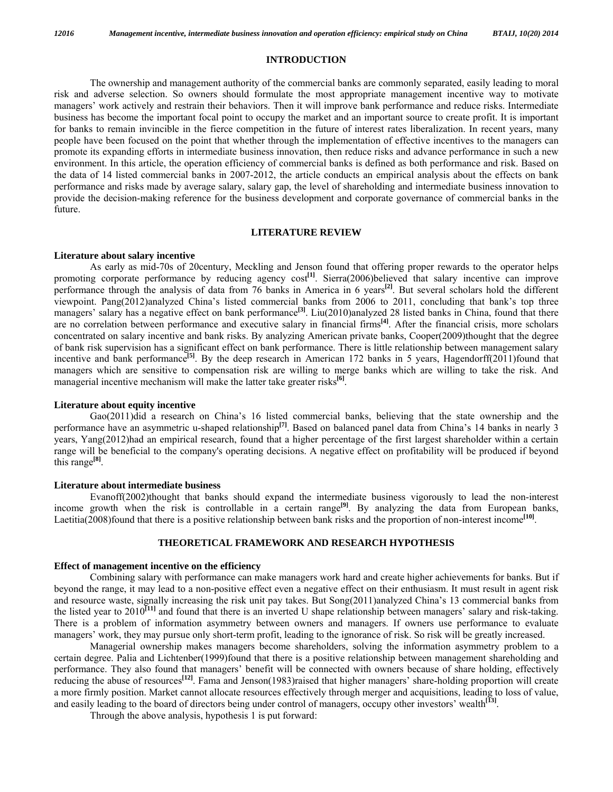#### **INTRODUCTION**

 The ownership and management authority of the commercial banks are commonly separated, easily leading to moral risk and adverse selection. So owners should formulate the most appropriate management incentive way to motivate managers' work actively and restrain their behaviors. Then it will improve bank performance and reduce risks. Intermediate business has become the important focal point to occupy the market and an important source to create profit. It is important for banks to remain invincible in the fierce competition in the future of interest rates liberalization. In recent years, many people have been focused on the point that whether through the implementation of effective incentives to the managers can promote its expanding efforts in intermediate business innovation, then reduce risks and advance performance in such a new environment. In this article, the operation efficiency of commercial banks is defined as both performance and risk. Based on the data of 14 listed commercial banks in 2007-2012, the article conducts an empirical analysis about the effects on bank performance and risks made by average salary, salary gap, the level of shareholding and intermediate business innovation to provide the decision-making reference for the business development and corporate governance of commercial banks in the future.

### **LITERATURE REVIEW**

#### **Literature about salary incentive**

 As early as mid-70s of 20century, Meckling and Jenson found that offering proper rewards to the operator helps promoting corporate performance by reducing agency cost<sup>[1]</sup>. Sierra(2006)believed that salary incentive can improve performance through the analysis of data from 76 banks in America in 6 years**[2]**. But several scholars hold the different viewpoint. Pang(2012)analyzed China's listed commercial banks from 2006 to 2011, concluding that bank's top three managers' salary has a negative effect on bank performance<sup>[3]</sup>. Liu(2010)analyzed 28 listed banks in China, found that there are no correlation between performance and executive salary in financial firms**[4]**. After the financial crisis, more scholars concentrated on salary incentive and bank risks. By analyzing American private banks, Cooper(2009)thought that the degree of bank risk supervision has a significant effect on bank performance. There is little relationship between management salary incentive and bank performance<sup>[5]</sup>. By the deep research in American 172 banks in 5 years, Hagendorff(2011)found that managers which are sensitive to compensation risk are willing to merge banks which are willing to take the risk. And managerial incentive mechanism will make the latter take greater risks**[6]**.

#### **Literature about equity incentive**

 Gao(2011)did a research on China's 16 listed commercial banks, believing that the state ownership and the performance have an asymmetric u-shaped relationship**[7]**. Based on balanced panel data from China's 14 banks in nearly 3 years, Yang(2012)had an empirical research, found that a higher percentage of the first largest shareholder within a certain range will be beneficial to the company's operating decisions. A negative effect on profitability will be produced if beyond this range**[8]**.

#### **Literature about intermediate business**

 Evanoff(2002)thought that banks should expand the intermediate business vigorously to lead the non-interest income growth when the risk is controllable in a certain range<sup>[9]</sup>. By analyzing the data from European banks, Laetitia(2008)found that there is a positive relationship between bank risks and the proportion of non-interest income<sup>[10]</sup>.

### **THEORETICAL FRAMEWORK AND RESEARCH HYPOTHESIS**

### **Effect of management incentive on the efficiency**

 Combining salary with performance can make managers work hard and create higher achievements for banks. But if beyond the range, it may lead to a non-positive effect even a negative effect on their enthusiasm. It must result in agent risk and resource waste, signally increasing the risk unit pay takes. But Song(2011)analyzed China's 13 commercial banks from the listed year to 2010**[11]** and found that there is an inverted U shape relationship between managers' salary and risk-taking. There is a problem of information asymmetry between owners and managers. If owners use performance to evaluate managers' work, they may pursue only short-term profit, leading to the ignorance of risk. So risk will be greatly increased.

 Managerial ownership makes managers become shareholders, solving the information asymmetry problem to a certain degree. Palia and Lichtenber(1999)found that there is a positive relationship between management shareholding and performance. They also found that managers' benefit will be connected with owners because of share holding, effectively reducing the abuse of resources**[12]**. Fama and Jenson(1983)raised that higher managers' share-holding proportion will create a more firmly position. Market cannot allocate resources effectively through merger and acquisitions, leading to loss of value, and easily leading to the board of directors being under control of managers, occupy other investors' wealth<sup>[13]</sup>.

Through the above analysis, hypothesis 1 is put forward: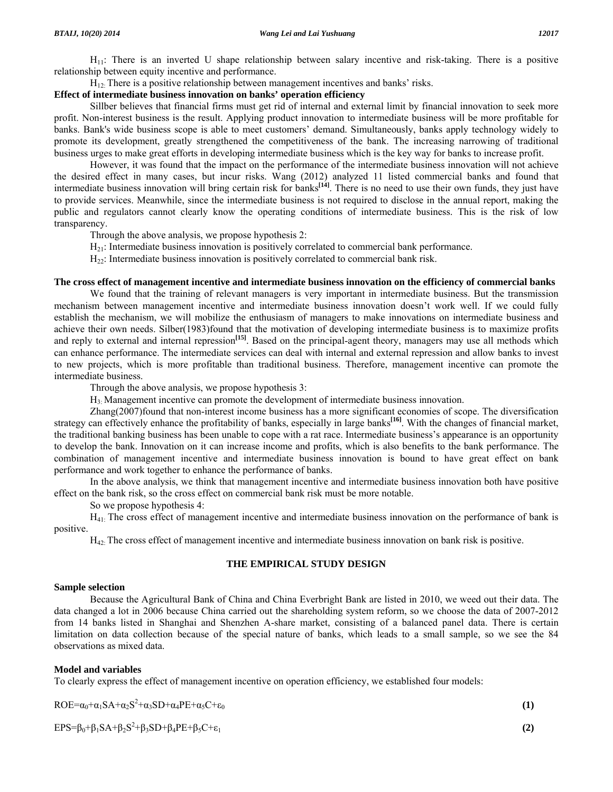$H_{11}$ : There is an inverted U shape relationship between salary incentive and risk-taking. There is a positive relationship between equity incentive and performance.

 $H_{12}$ . There is a positive relationship between management incentives and banks' risks.

# **Effect of intermediate business innovation on banks' operation efficiency**

 Sillber believes that financial firms must get rid of internal and external limit by financial innovation to seek more profit. Non-interest business is the result. Applying product innovation to intermediate business will be more profitable for banks. Bank's wide business scope is able to meet customers' demand. Simultaneously, banks apply technology widely to promote its development, greatly strengthened the competitiveness of the bank. The increasing narrowing of traditional business urges to make great efforts in developing intermediate business which is the key way for banks to increase profit.

 However, it was found that the impact on the performance of the intermediate business innovation will not achieve the desired effect in many cases, but incur risks. Wang (2012) analyzed 11 listed commercial banks and found that intermediate business innovation will bring certain risk for banks**[14]**. There is no need to use their own funds, they just have to provide services. Meanwhile, since the intermediate business is not required to disclose in the annual report, making the public and regulators cannot clearly know the operating conditions of intermediate business. This is the risk of low transparency.

Through the above analysis, we propose hypothesis 2:

- $H_{21}$ : Intermediate business innovation is positively correlated to commercial bank performance.
- $H_{22}$ : Intermediate business innovation is positively correlated to commercial bank risk.

# **The cross effect of management incentive and intermediate business innovation on the efficiency of commercial banks**

 We found that the training of relevant managers is very important in intermediate business. But the transmission mechanism between management incentive and intermediate business innovation doesn't work well. If we could fully establish the mechanism, we will mobilize the enthusiasm of managers to make innovations on intermediate business and achieve their own needs. Silber(1983)found that the motivation of developing intermediate business is to maximize profits and reply to external and internal repression<sup>[15]</sup>. Based on the principal-agent theory, managers may use all methods which can enhance performance. The intermediate services can deal with internal and external repression and allow banks to invest to new projects, which is more profitable than traditional business. Therefore, management incentive can promote the intermediate business.

Through the above analysis, we propose hypothesis 3:

H3: Management incentive can promote the development of intermediate business innovation.

 Zhang(2007)found that non-interest income business has a more significant economies of scope. The diversification strategy can effectively enhance the profitability of banks, especially in large banks**[16]**. With the changes of financial market, the traditional banking business has been unable to cope with a rat race. Intermediate business's appearance is an opportunity to develop the bank. Innovation on it can increase income and profits, which is also benefits to the bank performance. The combination of management incentive and intermediate business innovation is bound to have great effect on bank performance and work together to enhance the performance of banks.

 In the above analysis, we think that management incentive and intermediate business innovation both have positive effect on the bank risk, so the cross effect on commercial bank risk must be more notable.

So we propose hypothesis 4:

 H41: The cross effect of management incentive and intermediate business innovation on the performance of bank is positive.

H42: The cross effect of management incentive and intermediate business innovation on bank risk is positive.

# **THE EMPIRICAL STUDY DESIGN**

## **Sample selection**

 Because the Agricultural Bank of China and China Everbright Bank are listed in 2010, we weed out their data. The data changed a lot in 2006 because China carried out the shareholding system reform, so we choose the data of 2007-2012 from 14 banks listed in Shanghai and Shenzhen A-share market, consisting of a balanced panel data. There is certain limitation on data collection because of the special nature of banks, which leads to a small sample, so we see the 84 observations as mixed data.

# **Model and variables**

To clearly express the effect of management incentive on operation efficiency, we established four models:

$$
ROE = \alpha_0 + \alpha_1 SA + \alpha_2 S^2 + \alpha_3 SD + \alpha_4 PE + \alpha_5 C + \epsilon_0
$$
\n
$$
(1)
$$

 $EPS = \beta_0 + \beta_1 SA + \beta_2 S^2 + \beta_3 SD + \beta_4 PE + \beta_5 C + \epsilon_1$  (2)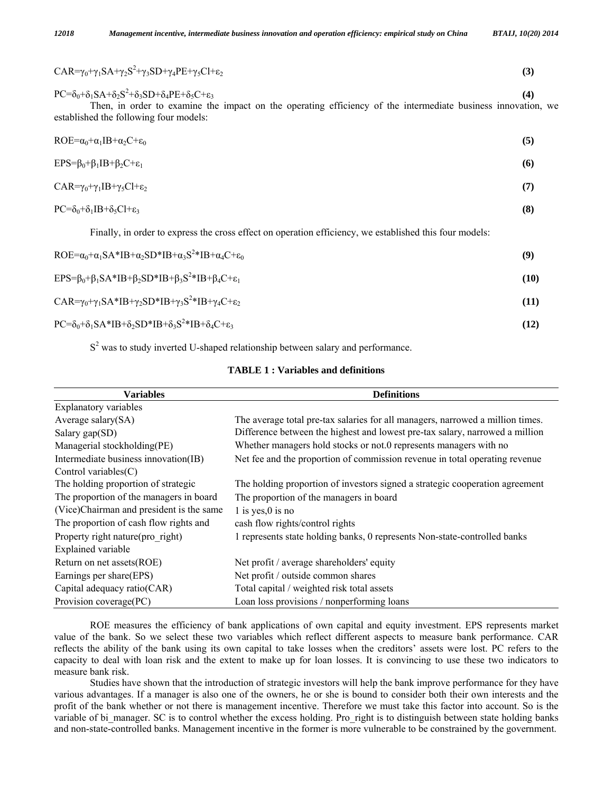| CAR= $\gamma_0+\gamma_1SA+\gamma_2S^2+\gamma_3SD+\gamma_4PE+\gamma_5Cl+\epsilon_2$                                                                                                                                                                           | (3)  |
|--------------------------------------------------------------------------------------------------------------------------------------------------------------------------------------------------------------------------------------------------------------|------|
| $PC = \delta_0 + \delta_1 SA + \delta_2 S^2 + \delta_3 SD + \delta_4 PE + \delta_5 C + \epsilon_3$<br>Then, in order to examine the impact on the operating efficiency of the intermediate business innovation, we<br>established the following four models: | (4)  |
| $ROE = \alpha_0 + \alpha_1 IB + \alpha_2 C + \epsilon_0$                                                                                                                                                                                                     | (5)  |
| $EPS = \beta_0 + \beta_1 IB + \beta_2 C + \epsilon_1$                                                                                                                                                                                                        | (6)  |
| $CAR = \gamma_0 + \gamma_1 IB + \gamma_5 Cl + \epsilon_2$                                                                                                                                                                                                    | (7)  |
| $PC = \delta_0 + \delta_1 IB + \delta_5 Cl + \epsilon_3$                                                                                                                                                                                                     | (8)  |
| Finally, in order to express the cross effect on operation efficiency, we established this four models:                                                                                                                                                      |      |
| $ROE = \alpha_0 + \alpha_1 SA * IB + \alpha_2 SD * IB + \alpha_3 S^2 * IB + \alpha_4 C + \epsilon_0$                                                                                                                                                         | (9)  |
| $EPS = \beta_0 + \beta_1 SA * IB + \beta_2 SD * IB + \beta_3 S^2 * IB + \beta_4 C + \epsilon_1$                                                                                                                                                              | (10) |
| CAR= $\gamma_0+\gamma_1SA*B+\gamma_2SD*B+\gamma_3S^2*B+\gamma_4C+\epsilon_2$                                                                                                                                                                                 | (11) |
| $PC = \delta_0 + \delta_1 SA * IB + \delta_2 SD * IB + \delta_3 S^2 * IB + \delta_4 C + \epsilon_3$                                                                                                                                                          | (12) |

 $S<sup>2</sup>$  was to study inverted U-shaped relationship between salary and performance.

| <b>TABLE 1: Variables and definitions</b> |  |  |
|-------------------------------------------|--|--|
|-------------------------------------------|--|--|

| <b>Variables</b>                                                                   | <b>Definitions</b>                                                             |
|------------------------------------------------------------------------------------|--------------------------------------------------------------------------------|
| <b>Explanatory variables</b>                                                       |                                                                                |
| Average salary $(SA)$                                                              | The average total pre-tax salaries for all managers, narrowed a million times. |
| Salary gap $(SD)$                                                                  | Difference between the highest and lowest pre-tax salary, narrowed a million   |
| Managerial stockholding(PE)                                                        | Whether managers hold stocks or not.0 represents managers with no              |
| Intermediate business innovation(IB)                                               | Net fee and the proportion of commission revenue in total operating revenue    |
| Control variables $(C)$                                                            |                                                                                |
| The holding proportion of strategic                                                | The holding proportion of investors signed a strategic cooperation agreement   |
| The proportion of the managers in board<br>The proportion of the managers in board |                                                                                |
| (Vice)Chairman and president is the same                                           | 1 is yes, $0$ is no                                                            |
| The proportion of cash flow rights and                                             | cash flow rights/control rights                                                |
| Property right nature (pro right)                                                  | 1 represents state holding banks, 0 represents Non-state-controlled banks      |
| Explained variable                                                                 |                                                                                |
| Return on net assets(ROE)                                                          | Net profit / average shareholders' equity                                      |
| Earnings per share(EPS)                                                            | Net profit / outside common shares                                             |
| Capital adequacy ratio(CAR)                                                        | Total capital / weighted risk total assets                                     |
| Provision coverage(PC)                                                             | Loan loss provisions / nonperforming loans                                     |

 ROE measures the efficiency of bank applications of own capital and equity investment. EPS represents market value of the bank. So we select these two variables which reflect different aspects to measure bank performance. CAR reflects the ability of the bank using its own capital to take losses when the creditors' assets were lost. PC refers to the capacity to deal with loan risk and the extent to make up for loan losses. It is convincing to use these two indicators to measure bank risk.

 Studies have shown that the introduction of strategic investors will help the bank improve performance for they have various advantages. If a manager is also one of the owners, he or she is bound to consider both their own interests and the profit of the bank whether or not there is management incentive. Therefore we must take this factor into account. So is the variable of bi manager. SC is to control whether the excess holding. Pro right is to distinguish between state holding banks and non-state-controlled banks. Management incentive in the former is more vulnerable to be constrained by the government.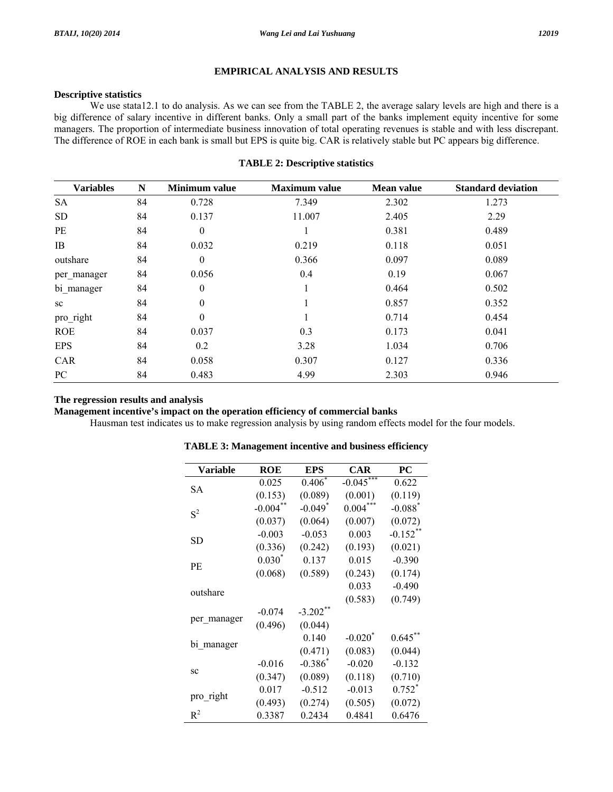### **EMPIRICAL ANALYSIS AND RESULTS**

## **Descriptive statistics**

We use stata12.1 to do analysis. As we can see from the TABLE 2, the average salary levels are high and there is a big difference of salary incentive in different banks. Only a small part of the banks implement equity incentive for some managers. The proportion of intermediate business innovation of total operating revenues is stable and with less discrepant. The difference of ROE in each bank is small but EPS is quite big. CAR is relatively stable but PC appears big difference.

### **TABLE 2: Descriptive statistics**

| <b>Variables</b> | $\mathbf N$ | <b>Minimum</b> value | <b>Maximum</b> value | <b>Mean value</b> | <b>Standard deviation</b> |
|------------------|-------------|----------------------|----------------------|-------------------|---------------------------|
| <b>SA</b>        | 84          | 0.728                | 7.349                | 2.302             | 1.273                     |
| <b>SD</b>        | 84          | 0.137                | 11.007               | 2.405             | 2.29                      |
| PE               | 84          | $\mathbf{0}$         |                      | 0.381             | 0.489                     |
| IB               | 84          | 0.032                | 0.219                | 0.118             | 0.051                     |
| outshare         | 84          | $\theta$             | 0.366                | 0.097             | 0.089                     |
| per_manager      | 84          | 0.056                | 0.4                  | 0.19              | 0.067                     |
| bi manager       | 84          | $\theta$             |                      | 0.464             | 0.502                     |
| sc               | 84          | $\mathbf{0}$         |                      | 0.857             | 0.352                     |
| pro_right        | 84          | $\theta$             |                      | 0.714             | 0.454                     |
| <b>ROE</b>       | 84          | 0.037                | 0.3                  | 0.173             | 0.041                     |
| <b>EPS</b>       | 84          | 0.2                  | 3.28                 | 1.034             | 0.706                     |
| <b>CAR</b>       | 84          | 0.058                | 0.307                | 0.127             | 0.336                     |
| PC               | 84          | 0.483                | 4.99                 | 2.303             | 0.946                     |

### **The regression results and analysis**

**Management incentive's impact on the operation efficiency of commercial banks** 

Hausman test indicates us to make regression analysis by using random effects model for the four models.

| Variable    | <b>ROE</b>  | <b>EPS</b>            | <b>CAR</b>            | PC                    |
|-------------|-------------|-----------------------|-----------------------|-----------------------|
|             | 0.025       | $0.406*$              | $-0.045***$           | 0.622                 |
| SА          | (0.153)     | (0.089)               | (0.001)               | (0.119)               |
| $S^2$       | $-0.004$ ** | $-0.049$ <sup>*</sup> | $0.004***$            | $-0.088$ <sup>*</sup> |
|             | (0.037)     | (0.064)               | (0.007)               | (0.072)               |
|             | $-0.003$    | $-0.053$              | 0.003                 | $-0.152$ **           |
| SD          | (0.336)     | (0.242)               | (0.193)               | (0.021)               |
|             | $0.030*$    | 0.137                 | 0.015                 | $-0.390$              |
| PE          | (0.068)     | (0.589)               | (0.243)               | (0.174)               |
|             |             |                       | 0.033                 | $-0.490$              |
| outshare    |             |                       | (0.583)               | (0.749)               |
|             | $-0.074$    | $-3.202$ **           |                       |                       |
| per manager | (0.496)     | (0.044)               |                       |                       |
|             |             | 0.140                 | $-0.020$ <sup>*</sup> | $0.645$ **            |
| bi_manager  |             | (0.471)               | (0.083)               | (0.044)               |
|             | $-0.016$    | $-0.386^*$            | $-0.020$              | $-0.132$              |
| SC          | (0.347)     | (0.089)               | (0.118)               | (0.710)               |
|             | 0.017       | $-0.512$              | $-0.013$              | $0.752^*$             |
| pro_right   | (0.493)     | (0.274)               | (0.505)               | (0.072)               |
| $R^2$       | 0.3387      | 0.2434                | 0.4841                | 0.6476                |

### **TABLE 3: Management incentive and business efficiency**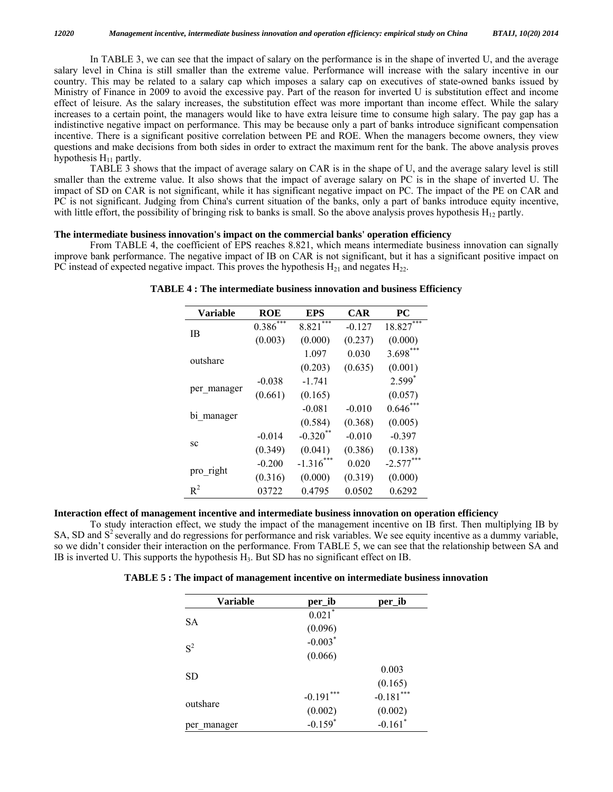In TABLE 3, we can see that the impact of salary on the performance is in the shape of inverted U, and the average salary level in China is still smaller than the extreme value. Performance will increase with the salary incentive in our country. This may be related to a salary cap which imposes a salary cap on executives of state-owned banks issued by Ministry of Finance in 2009 to avoid the excessive pay. Part of the reason for inverted U is substitution effect and income effect of leisure. As the salary increases, the substitution effect was more important than income effect. While the salary increases to a certain point, the managers would like to have extra leisure time to consume high salary. The pay gap has a indistinctive negative impact on performance. This may be because only a part of banks introduce significant compensation incentive. There is a significant positive correlation between PE and ROE. When the managers become owners, they view questions and make decisions from both sides in order to extract the maximum rent for the bank. The above analysis proves hypothesis  $H_{11}$  partly.

 TABLE 3 shows that the impact of average salary on CAR is in the shape of U, and the average salary level is still smaller than the extreme value. It also shows that the impact of average salary on PC is in the shape of inverted U. The impact of SD on CAR is not significant, while it has significant negative impact on PC. The impact of the PE on CAR and PC is not significant. Judging from China's current situation of the banks, only a part of banks introduce equity incentive, with little effort, the possibility of bringing risk to banks is small. So the above analysis proves hypothesis  $H_{12}$  partly.

#### **The intermediate business innovation's impact on the commercial banks' operation efficiency**

 From TABLE 4, the coefficient of EPS reaches 8.821, which means intermediate business innovation can signally improve bank performance. The negative impact of IB on CAR is not significant, but it has a significant positive impact on PC instead of expected negative impact. This proves the hypothesis  $H_{21}$  and negates  $H_{22}$ .

| <b>Variable</b> | ROE        | EPS         | <b>CAR</b> | <b>PC</b>   |
|-----------------|------------|-------------|------------|-------------|
| <b>IB</b>       | $0.386***$ | 8.821       | $-0.127$   | $18.827***$ |
|                 | (0.003)    | (0.000)     | (0.237)    | (0.000)     |
|                 |            | 1.097       | 0.030      | $3.698***$  |
| outshare        |            | (0.203)     | (0.635)    | (0.001)     |
|                 | $-0.038$   | $-1.741$    |            | $2.599*$    |
| per_manager     | (0.661)    | (0.165)     |            | (0.057)     |
|                 |            | $-0.081$    | $-0.010$   | $0.646***$  |
| bi manager      |            | (0.584)     | (0.368)    | (0.005)     |
|                 | $-0.014$   | $-0.320$ ** | $-0.010$   | $-0.397$    |
| SC              | (0.349)    | (0.041)     | (0.386)    | (0.138)     |
|                 | $-0.200$   | $-1.316***$ | 0.020      | $-2.577***$ |
| pro_right       | (0.316)    | (0.000)     | (0.319)    | (0.000)     |
| $R^2$           | 03722      | 0.4795      | 0.0502     | 0.6292      |

**TABLE 4 : The intermediate business innovation and business Efficiency** 

## **Interaction effect of management incentive and intermediate business innovation on operation efficiency**

 To study interaction effect, we study the impact of the management incentive on IB first. Then multiplying IB by SA, SD and  $S<sup>2</sup>$  severally and do regressions for performance and risk variables. We see equity incentive as a dummy variable, so we didn't consider their interaction on the performance. From TABLE 5, we can see that the relationship between SA and IB is inverted U. This supports the hypothesis  $H_3$ . But SD has no significant effect on IB.

| <b>TABLE 5: The impact of management incentive on intermediate business innovation</b> |  |
|----------------------------------------------------------------------------------------|--|
|----------------------------------------------------------------------------------------|--|

| <b>Variable</b> | per_ib                | per_ib                |
|-----------------|-----------------------|-----------------------|
|                 | $0.021$ <sup>*</sup>  |                       |
| SА              | (0.096)               |                       |
| $S^2$           | $-0.003*$             |                       |
|                 | (0.066)               |                       |
|                 |                       | 0.003                 |
| SD              |                       | (0.165)               |
|                 | $-0.191***$           | $-0.181***$           |
| outshare        | (0.002)               | (0.002)               |
| per manager     | $-0.159$ <sup>*</sup> | $-0.161$ <sup>*</sup> |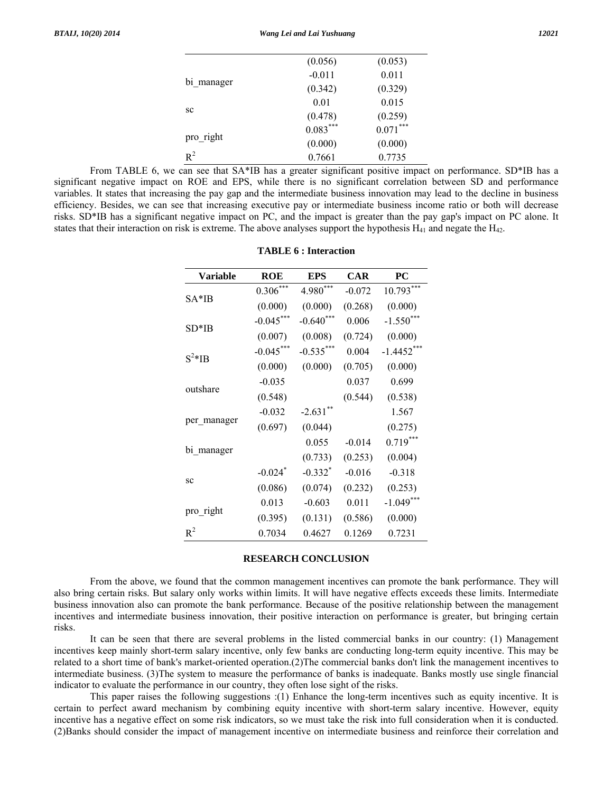|            | (0.056)    | (0.053)    |
|------------|------------|------------|
| bi manager | $-0.011$   | 0.011      |
|            | (0.342)    | (0.329)    |
| SC         | 0.01       | 0.015      |
|            | (0.478)    | (0.259)    |
| pro right  | $0.083***$ | $0.071***$ |
|            | (0.000)    | (0.000)    |
| $R^2$      | 0.7661     | 0.7735     |

From TABLE 6, we can see that SA\*IB has a greater significant positive impact on performance. SD\*IB has a significant negative impact on ROE and EPS, while there is no significant correlation between SD and performance variables. It states that increasing the pay gap and the intermediate business innovation may lead to the decline in business efficiency. Besides, we can see that increasing executive pay or intermediate business income ratio or both will decrease risks. SD\*IB has a significant negative impact on PC, and the impact is greater than the pay gap's impact on PC alone. It states that their interaction on risk is extreme. The above analyses support the hypothesis  $H_{41}$  and negate the  $H_{42}$ .

| <b>Variable</b> | ROE         | EPS         | CAR      | PС            |
|-----------------|-------------|-------------|----------|---------------|
| $SA*IB$         | $0.306***$  | $4.980***$  | $-0.072$ | ***<br>10.793 |
|                 | (0.000)     | (0.000)     | (0.268)  | (0.000)       |
| $SD*IB$         | $-0.045***$ | $-0.640***$ | 0.006    | $-1.550***$   |
|                 | (0.007)     | (0.008)     | (0.724)  | (0.000)       |
| $S^2*IB$        | $-0.045***$ | $-0.535***$ | 0.004    | $-1.4452***$  |
|                 | (0.000)     | (0.000)     | (0.705)  | (0.000)       |
|                 | $-0.035$    |             | 0.037    | 0.699         |
| outshare        | (0.548)     |             | (0.544)  | (0.538)       |
|                 | $-0.032$    | $-2.631$ ** |          | 1.567         |
| per manager     | (0.697)     | (0.044)     |          | (0.275)       |
|                 |             | 0.055       | $-0.014$ | $0.719***$    |
| bi manager      |             | (0.733)     | (0.253)  | (0.004)       |
| SC              | $-0.024$ *  | $-0.332*$   | $-0.016$ | $-0.318$      |
|                 | (0.086)     | (0.074)     | (0.232)  | (0.253)       |
| pro_right       | 0.013       | $-0.603$    | 0.011    | $-1.049***$   |
|                 | (0.395)     | (0.131)     | (0.586)  | (0.000)       |
| $R^2$           | 0.7034      | 0.4627      | 0.1269   | 0.7231        |

#### **TABLE 6 : Interaction**

## **RESEARCH CONCLUSION**

 From the above, we found that the common management incentives can promote the bank performance. They will also bring certain risks. But salary only works within limits. It will have negative effects exceeds these limits. Intermediate business innovation also can promote the bank performance. Because of the positive relationship between the management incentives and intermediate business innovation, their positive interaction on performance is greater, but bringing certain risks.

 It can be seen that there are several problems in the listed commercial banks in our country: (1) Management incentives keep mainly short-term salary incentive, only few banks are conducting long-term equity incentive. This may be related to a short time of bank's market-oriented operation.(2)The commercial banks don't link the management incentives to intermediate business. (3)The system to measure the performance of banks is inadequate. Banks mostly use single financial indicator to evaluate the performance in our country, they often lose sight of the risks.

 This paper raises the following suggestions :(1) Enhance the long-term incentives such as equity incentive. It is certain to perfect award mechanism by combining equity incentive with short-term salary incentive. However, equity incentive has a negative effect on some risk indicators, so we must take the risk into full consideration when it is conducted. (2)Banks should consider the impact of management incentive on intermediate business and reinforce their correlation and